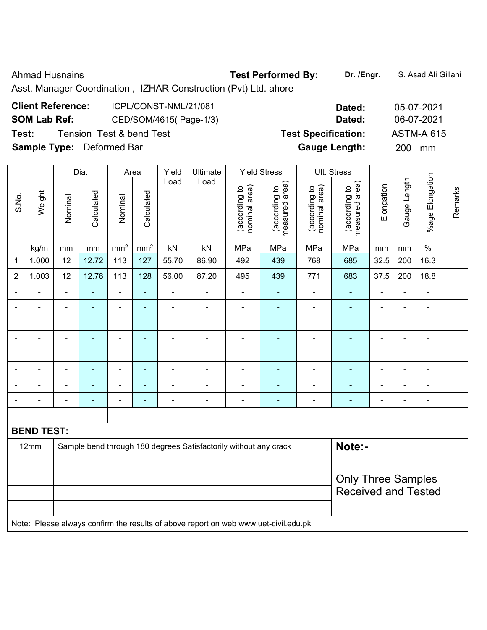### Ahmad Husnains **Test Performed By:** Dr. /Engr. **S. Asad Ali Gillani** Ahmad Husnains

Asst. Manager Coordination , IZHAR Construction (Pvt) Ltd. ahore

| <b>Client Reference:</b>         | ICPL/CONST-NML/21/081    | Dated:                     | 05-07-2021        |
|----------------------------------|--------------------------|----------------------------|-------------------|
| <b>SOM Lab Ref:</b>              | CED/SOM/4615(Page-1/3)   | Dated:                     | 06-07-2021        |
| Test:                            | Tension Test & bend Test | <b>Test Specification:</b> | <b>ASTM-A 615</b> |
| <b>Sample Type:</b> Deformed Bar |                          | <b>Gauge Length:</b>       | <b>200</b><br>mm  |

|                |                              |                                                                            | Dia.           |                              | Area                     | Yield          | Ultimate                 |                                | <b>Yield Stress</b>             |                                | Ult. Stress                     |                          |                |                 |         |
|----------------|------------------------------|----------------------------------------------------------------------------|----------------|------------------------------|--------------------------|----------------|--------------------------|--------------------------------|---------------------------------|--------------------------------|---------------------------------|--------------------------|----------------|-----------------|---------|
| S.No.          | Weight                       | Nominal                                                                    | Calculated     | Nominal                      | Calculated               | Load           | Load                     | nominal area)<br>(according to | (according to<br>measured area) | nominal area)<br>(according to | (according to<br>measured area) | Elongation               | Gauge Length   | %age Elongation | Remarks |
|                | kg/m                         | mm                                                                         | $\,mm$         | mm <sup>2</sup>              | $\rm mm^2$               | kN             | kN                       | MPa                            | MPa                             | MPa                            | MPa                             | mm                       | mm             | $\%$            |         |
| 1              | 1.000                        | 12                                                                         | 12.72          | 113                          | 127                      | 55.70          | 86.90                    | 492                            | 439                             | 768                            | 685                             | 32.5                     | 200            | 16.3            |         |
| $\overline{2}$ | 1.003                        | 12                                                                         | 12.76          | 113                          | 128                      | 56.00          | 87.20                    | 495                            | 439                             | 771                            | 683                             | 37.5                     | 200            | 18.8            |         |
| ۰              | $\blacksquare$               | $\blacksquare$                                                             | ÷              | $\blacksquare$               | ÷,                       | $\blacksquare$ | $\blacksquare$           | $\blacksquare$                 | $\blacksquare$                  | $\frac{1}{2}$                  | ÷,                              | $\blacksquare$           | $\blacksquare$ | $\blacksquare$  |         |
|                |                              |                                                                            | $\blacksquare$ | ۰                            | $\blacksquare$           |                | $\blacksquare$           | $\blacksquare$                 | $\blacksquare$                  | $\blacksquare$                 | $\blacksquare$                  |                          |                | $\blacksquare$  |         |
|                | $\blacksquare$               | $\blacksquare$                                                             |                | $\qquad \qquad \blacksquare$ |                          |                | $\blacksquare$           | $\blacksquare$                 | $\blacksquare$                  | $\blacksquare$                 | $\blacksquare$                  | $\blacksquare$           | $\blacksquare$ | $\blacksquare$  |         |
| -              | $\qquad \qquad \blacksquare$ | $\blacksquare$                                                             | ۰              | ۰                            | ٠                        | $\overline{a}$ | $\blacksquare$           | $\blacksquare$                 | $\blacksquare$                  | $\blacksquare$                 | $\blacksquare$                  | $\overline{\phantom{a}}$ | $\blacksquare$ | $\blacksquare$  |         |
|                | $\blacksquare$               | $\blacksquare$                                                             | $\blacksquare$ | ۰                            | $\overline{\phantom{0}}$ | $\blacksquare$ | $\blacksquare$           | $\blacksquare$                 | ٠                               | $\blacksquare$                 | $\blacksquare$                  | $\blacksquare$           | $\blacksquare$ | $\blacksquare$  |         |
|                |                              |                                                                            | $\overline{a}$ | $\blacksquare$               |                          |                |                          |                                |                                 |                                |                                 | $\sim$                   |                | $\sim$          |         |
|                | ۰                            | $\blacksquare$                                                             | $\blacksquare$ | $\blacksquare$               | $\blacksquare$           | $\blacksquare$ | $\overline{\phantom{0}}$ | $\blacksquare$                 |                                 |                                |                                 | $\blacksquare$           | $\blacksquare$ | $\blacksquare$  |         |
| $\blacksquare$ |                              | $\blacksquare$                                                             | ۰              | ۰                            | $\overline{\phantom{0}}$ | $\overline{a}$ | $\blacksquare$           | $\blacksquare$                 | $\blacksquare$                  | $\blacksquare$                 | $\blacksquare$                  | $\overline{\phantom{a}}$ | $\blacksquare$ | $\blacksquare$  |         |
|                |                              |                                                                            |                |                              |                          |                |                          |                                |                                 |                                |                                 |                          |                |                 |         |
|                | <b>BEND TEST:</b>            |                                                                            |                |                              |                          |                |                          |                                |                                 |                                |                                 |                          |                |                 |         |
|                | 12mm                         | Note:-<br>Sample bend through 180 degrees Satisfactorily without any crack |                |                              |                          |                |                          |                                |                                 |                                |                                 |                          |                |                 |         |
|                |                              |                                                                            |                |                              |                          |                |                          |                                |                                 |                                |                                 |                          |                |                 |         |
|                |                              |                                                                            |                |                              |                          |                |                          |                                |                                 |                                | <b>Only Three Samples</b>       |                          |                |                 |         |
|                |                              |                                                                            |                |                              |                          |                |                          |                                |                                 |                                | <b>Received and Tested</b>      |                          |                |                 |         |
|                |                              |                                                                            |                |                              |                          |                |                          |                                |                                 |                                |                                 |                          |                |                 |         |
|                |                              |                                                                            |                |                              |                          |                |                          |                                |                                 |                                |                                 |                          |                |                 |         |

Note: Please always confirm the results of above report on web www.uet-civil.edu.pk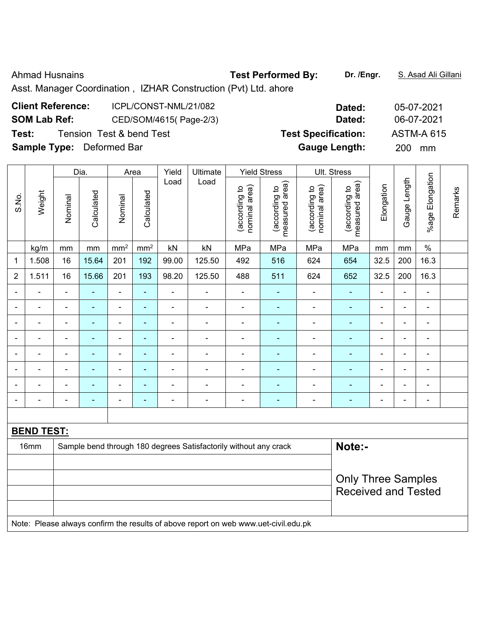### Ahmad Husnains **Test Performed By:** Dr. /Engr. **S. Asad Ali Gillani** Ahmad Husnains

Asst. Manager Coordination , IZHAR Construction (Pvt) Ltd. ahore

| <b>Client Reference:</b>         | ICPL/CONST-NML/21/082    | Dated:                     | 05-07-2021        |
|----------------------------------|--------------------------|----------------------------|-------------------|
| <b>SOM Lab Ref:</b>              | CED/SOM/4615(Page-2/3)   | Dated:                     | 06-07-2021        |
| Test:                            | Tension Test & bend Test | <b>Test Specification:</b> | <b>ASTM-A 615</b> |
| <b>Sample Type:</b> Deformed Bar |                          | <b>Gauge Length:</b>       | <b>200</b><br>mm  |

|                |                   |                          | Dia.                     |                              | Area                     | Yield                                                            | Ultimate                     |                                | <b>Yield Stress</b>             |                                | Ult. Stress                     |                |                |                              |         |
|----------------|-------------------|--------------------------|--------------------------|------------------------------|--------------------------|------------------------------------------------------------------|------------------------------|--------------------------------|---------------------------------|--------------------------------|---------------------------------|----------------|----------------|------------------------------|---------|
| S.No.          | Weight            | Nominal                  | Calculated               | Nominal                      | Calculated               | Load                                                             | Load                         | nominal area)<br>(according to | measured area)<br>(according to | (according to<br>nominal area) | (according to<br>measured area) | Elongation     | Gauge Length   | %age Elongation              | Remarks |
|                | kg/m              | mm                       | mm                       | mm <sup>2</sup>              | mm <sup>2</sup>          | kN                                                               | kN                           | MPa                            | MPa                             | MPa                            | MPa                             | mm             | mm             | $\%$                         |         |
| 1              | 1.508             | 16                       | 15.64                    | 201                          | 192                      | 99.00                                                            | 125.50                       | 492                            | 516                             | 624                            | 654                             | 32.5           | 200            | 16.3                         |         |
| $\overline{2}$ | 1.511             | 16                       | 15.66                    | 201                          | 193                      | 98.20                                                            | 125.50                       | 488                            | 511                             | 624                            | 652                             | 32.5           | 200            | 16.3                         |         |
| ۰              | ÷,                | $\overline{\phantom{a}}$ | ÷,                       | $\overline{\phantom{a}}$     | ÷,                       | $\blacksquare$                                                   | $\overline{a}$               | $\overline{\phantom{a}}$       | ÷                               | $\overline{\phantom{a}}$       | $\blacksquare$                  | $\blacksquare$ | $\blacksquare$ | ÷,                           |         |
|                | $\blacksquare$    |                          |                          | $\qquad \qquad \blacksquare$ | ٠                        | $\blacksquare$                                                   |                              | $\blacksquare$                 |                                 | $\blacksquare$                 | ۰                               |                | $\blacksquare$ | ۰                            |         |
|                | ۰                 | $\blacksquare$           | $\blacksquare$           | ۰                            | $\blacksquare$           | $\blacksquare$                                                   | $\blacksquare$               | $\blacksquare$                 | $\blacksquare$                  | $\blacksquare$                 | ÷,                              | $\blacksquare$ | $\blacksquare$ | $\blacksquare$               |         |
| ۰              | $\blacksquare$    | $\blacksquare$           | ÷,                       | $\qquad \qquad \blacksquare$ | $\blacksquare$           | ä,                                                               | $\blacksquare$               | $\blacksquare$                 | $\blacksquare$                  | $\blacksquare$                 | ۰                               | $\blacksquare$ | ä,             | $\blacksquare$               |         |
|                | $\blacksquare$    | $\blacksquare$           | $\blacksquare$           | $\qquad \qquad \blacksquare$ | $\overline{\phantom{0}}$ | ÷                                                                | $\qquad \qquad \blacksquare$ | $\blacksquare$                 | $\blacksquare$                  | $\blacksquare$                 | ۰                               |                | $\overline{a}$ | ÷,                           |         |
|                |                   |                          | $\blacksquare$           | ۰                            | $\blacksquare$           |                                                                  | $\blacksquare$               | $\blacksquare$                 |                                 |                                | ۰                               |                | $\blacksquare$ | $\blacksquare$               |         |
|                | $\blacksquare$    |                          |                          | $\blacksquare$               |                          |                                                                  |                              |                                |                                 |                                |                                 |                | $\blacksquare$ | ۰                            |         |
| ÷,             | $\blacksquare$    | $\blacksquare$           | $\blacksquare$           | ۰                            | $\blacksquare$           | $\blacksquare$                                                   | $\blacksquare$               | $\blacksquare$                 | ÷                               | $\blacksquare$                 | ä,                              | $\blacksquare$ | $\blacksquare$ | $\qquad \qquad \blacksquare$ |         |
|                |                   |                          |                          |                              |                          |                                                                  |                              |                                |                                 |                                |                                 |                |                |                              |         |
|                | <b>BEND TEST:</b> |                          |                          |                              |                          |                                                                  |                              |                                |                                 |                                |                                 |                |                |                              |         |
|                | 16mm              |                          |                          |                              |                          | Sample bend through 180 degrees Satisfactorily without any crack |                              | Note:-                         |                                 |                                |                                 |                |                |                              |         |
|                |                   |                          |                          |                              |                          |                                                                  |                              |                                |                                 |                                |                                 |                |                |                              |         |
|                |                   |                          |                          |                              |                          |                                                                  |                              |                                |                                 |                                | <b>Only Three Samples</b>       |                |                |                              |         |
|                |                   |                          |                          |                              |                          |                                                                  |                              |                                |                                 |                                | <b>Received and Tested</b>      |                |                |                              |         |
|                |                   |                          |                          |                              |                          |                                                                  |                              |                                |                                 |                                |                                 |                |                |                              |         |
| .              | $\sim$ .          |                          | $\overline{\phantom{a}}$ | $\cdot$ .                    | $\sim$                   | $\sim$ $\sim$                                                    |                              |                                | .                               |                                |                                 |                |                |                              |         |

Note: Please always confirm the results of above report on web www.uet-civil.edu.pk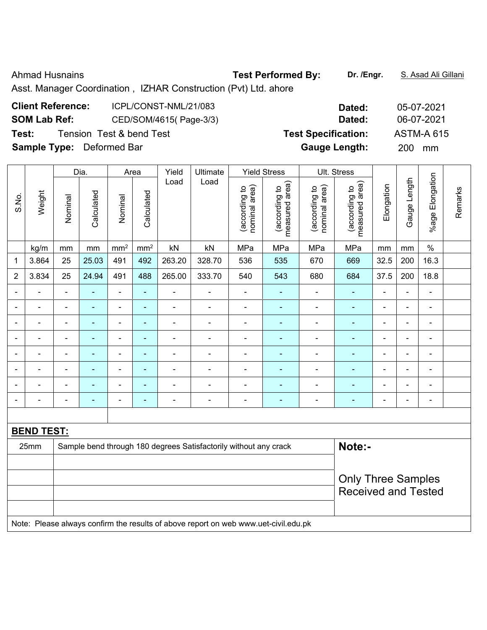Ahmad Husnains **Test Performed By:** Dr. /Engr. **S. Asad Ali Gillani** Ahmad Husnains

Asst. Manager Coordination , IZHAR Construction (Pvt) Ltd. ahore

| <b>Client Reference:</b>         | ICPL/CONST-NML/21/083    | Dated:                     | 05-07-202        |
|----------------------------------|--------------------------|----------------------------|------------------|
| <b>SOM Lab Ref:</b>              | CED/SOM/4615(Page-3/3)   | Dated:                     | 06-07-202        |
| Test:                            | Tension Test & bend Test | <b>Test Specification:</b> | ASTM-A 6         |
| <b>Sample Type:</b> Deformed Bar |                          | <b>Gauge Length:</b>       | <b>200</b><br>mm |

|                |                   |                | Dia.           |                          | Area                         | Yield          | Ultimate                                                         |                                | <b>Yield Stress</b>             |                                | Ult. Stress                     |                |                          |                          |         |
|----------------|-------------------|----------------|----------------|--------------------------|------------------------------|----------------|------------------------------------------------------------------|--------------------------------|---------------------------------|--------------------------------|---------------------------------|----------------|--------------------------|--------------------------|---------|
| S.No.          | Weight            | Nominal        | Calculated     | Nominal                  | Calculated                   | Load           | Load                                                             | nominal area)<br>(according to | (according to<br>measured area) | nominal area)<br>(according to | measured area)<br>(according to | Elongation     | Gauge Length             | Elongation<br>%age       | Remarks |
|                | kg/m              | mm             | $\,mm$         | mm <sup>2</sup>          | $\text{mm}^2$                | kN             | kN                                                               | MPa                            | MPa                             | MPa                            | MPa                             | mm             | mm                       | $\%$                     |         |
| $\mathbf 1$    | 3.864             | 25             | 25.03          | 491                      | 492                          | 263.20         | 328.70                                                           | 536                            | 535                             | 670                            | 669                             | 32.5           | 200                      | 16.3                     |         |
| $\overline{2}$ | 3.834             | 25             | 24.94          | 491                      | 488                          | 265.00         | 333.70                                                           | 540                            | 543                             | 680                            | 684                             | 37.5           | 200                      | 18.8                     |         |
| $\blacksquare$ |                   |                | $\blacksquare$ | ۰                        | ä,                           | $\blacksquare$ |                                                                  | $\blacksquare$                 |                                 | $\blacksquare$                 |                                 | ä,             |                          | ä,                       |         |
| $\blacksquare$ | ÷                 | $\blacksquare$ | $\blacksquare$ | $\blacksquare$           | $\qquad \qquad \blacksquare$ | $\blacksquare$ | $\overline{\phantom{a}}$                                         | $\blacksquare$                 | ٠                               | ÷                              | ÷                               | $\blacksquare$ | $\overline{\phantom{a}}$ | $\blacksquare$           |         |
| ۳              | $\blacksquare$    |                | $\blacksquare$ | $\overline{\phantom{a}}$ | ÷,                           | $\blacksquare$ |                                                                  | ÷                              | ۰                               | $\blacksquare$                 | ÷                               | L,             | $\blacksquare$           | $\overline{\phantom{a}}$ |         |
|                |                   |                | $\blacksquare$ | ÷                        | L,                           | ä,             |                                                                  | $\blacksquare$                 |                                 | $\blacksquare$                 | ÷                               | $\blacksquare$ |                          | Ē,                       |         |
|                | $\overline{a}$    |                | $\blacksquare$ | ÷                        | ÷                            | $\blacksquare$ |                                                                  | $\blacksquare$                 |                                 |                                |                                 | $\blacksquare$ | $\blacksquare$           | $\blacksquare$           |         |
|                |                   |                | $\blacksquare$ | $\overline{\phantom{a}}$ | $\blacksquare$               | $\blacksquare$ |                                                                  |                                | ۰                               |                                | $\blacksquare$                  | ÷              |                          | $\blacksquare$           |         |
|                | ÷                 |                | $\blacksquare$ | $\blacksquare$           | ÷                            | $\blacksquare$ | $\blacksquare$                                                   | ä,                             | ۰                               | $\blacksquare$                 | ÷,                              | ÷              | $\overline{\phantom{a}}$ | $\blacksquare$           |         |
|                |                   |                | $\blacksquare$ | ۰                        | ۰                            | $\blacksquare$ |                                                                  | $\blacksquare$                 | ۰                               | ۰                              | ÷,                              | ä,             |                          | $\blacksquare$           |         |
|                |                   |                |                |                          |                              |                |                                                                  |                                |                                 |                                |                                 |                |                          |                          |         |
|                | <b>BEND TEST:</b> |                |                |                          |                              |                |                                                                  |                                |                                 |                                |                                 |                |                          |                          |         |
|                | 25mm              |                |                |                          |                              |                | Sample bend through 180 degrees Satisfactorily without any crack |                                |                                 |                                | Note:-                          |                |                          |                          |         |
|                |                   |                |                |                          |                              |                |                                                                  |                                |                                 |                                |                                 |                |                          |                          |         |
|                |                   |                |                |                          |                              |                |                                                                  |                                |                                 |                                | <b>Only Three Samples</b>       |                |                          |                          |         |
|                |                   |                |                |                          |                              |                |                                                                  |                                |                                 |                                | <b>Received and Tested</b>      |                |                          |                          |         |
|                |                   |                |                |                          |                              |                |                                                                  |                                |                                 |                                |                                 |                |                          |                          |         |

Note: Please always confirm the results of above report on web www.uet-civil.edu.pk

**Client Reference:** ICPL/CONST-NML/21/083 **Dated:** 05-07-2021 **SOM Lab Ref:** CED/SOM/4615( Page-3/3) **Dated:** 06-07-2021

 **ASTM-A 615**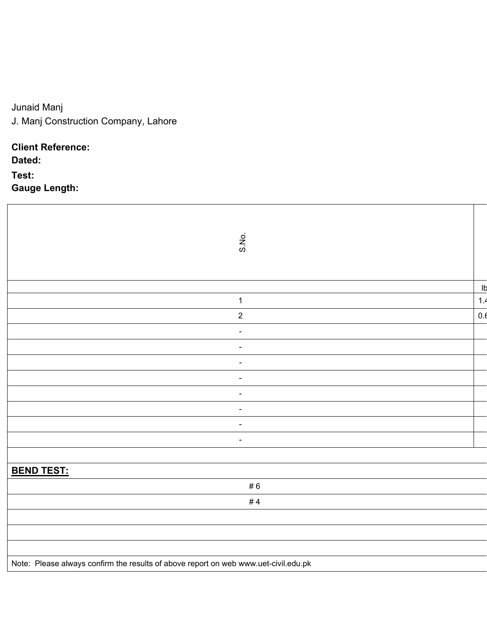# Junaid Manj

J. Manj Construction Company, Lahore

# **Client Reference:**

**Dated:** 

## **Test: Gauge Length:**

| S.No.                                                                               |     |
|-------------------------------------------------------------------------------------|-----|
|                                                                                     | Ib  |
| $\mathbf 1$                                                                         | 1.4 |
| $\overline{2}$                                                                      | 0.6 |
|                                                                                     |     |
|                                                                                     |     |
|                                                                                     |     |
|                                                                                     |     |
| $\overline{\phantom{a}}$                                                            |     |
|                                                                                     |     |
| $\blacksquare$                                                                      |     |
| $\blacksquare$                                                                      |     |
|                                                                                     |     |
| <b>BEND TEST:</b>                                                                   |     |
| #6                                                                                  |     |
| #4                                                                                  |     |
|                                                                                     |     |
|                                                                                     |     |
|                                                                                     |     |
| Note: Please always confirm the results of above report on web www.uet-civil.edu.pk |     |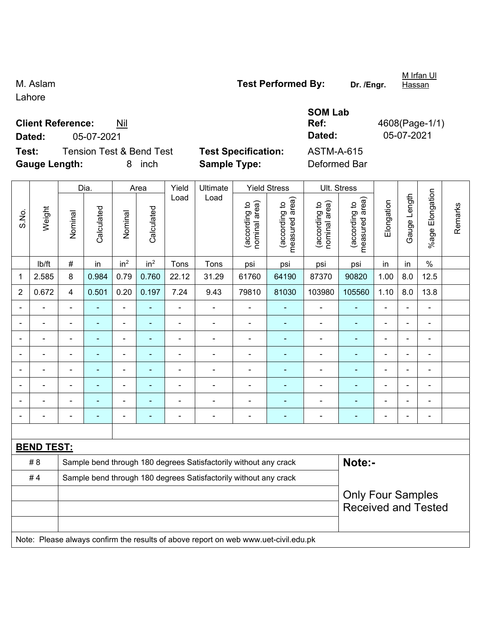Lahore

**Client Reference:** Nil **Dated:** 05-07-2021 **Dated:** 05-07-2021

**Test:** Tension Test & Bend Test **Test Specification:** ASTM-A-615 **Gauge Length:** 8 inch **Sample Type:** Deformed Bar

|                |                   |                                                                  | Dia.           |                 | Area            | Yield          | Ultimate                                                                            |                                | <b>Yield Stress</b>                         | Ult. Stress                    |                                 |                |              |                           |         |
|----------------|-------------------|------------------------------------------------------------------|----------------|-----------------|-----------------|----------------|-------------------------------------------------------------------------------------|--------------------------------|---------------------------------------------|--------------------------------|---------------------------------|----------------|--------------|---------------------------|---------|
| S.No.          | Weight            | Nominal                                                          | Calculated     | Nominal         | Calculated      | Load           | Load                                                                                | nominal area)<br>(according to | (according to<br>measured area)<br>measured | nominal area)<br>(according to | measured area)<br>(according to | Elongation     | Gauge Length | Elongation<br>$%$ age $I$ | Remarks |
|                | Ib/ft             | $\#$                                                             | in             | in <sup>2</sup> | in <sup>2</sup> | Tons           | Tons                                                                                | psi                            | psi                                         | psi                            | psi                             | in             | in           | $\%$                      |         |
| $\mathbf{1}$   | 2.585             | 8                                                                | 0.984          | 0.79            | 0.760           | 22.12          | 31.29                                                                               | 61760                          | 64190                                       | 87370                          | 90820                           | 1.00           | 8.0          | 12.5                      |         |
| $\overline{2}$ | 0.672             | $\overline{4}$                                                   | 0.501          | 0.20            | 0.197           | 7.24           | 9.43                                                                                | 79810                          | 81030                                       | 103980                         | 105560                          | 1.10           | 8.0          | 13.8                      |         |
|                |                   | $\blacksquare$                                                   |                | $\blacksquare$  | L,              |                |                                                                                     |                                |                                             | ä,                             | $\blacksquare$                  | ÷              |              | L,                        |         |
|                |                   | ۰                                                                | $\blacksquare$ | $\blacksquare$  | $\blacksquare$  | $\blacksquare$ | $\blacksquare$                                                                      | $\overline{\phantom{a}}$       | $\blacksquare$                              | ÷                              | $\blacksquare$                  | ÷              | ÷            | $\overline{\phantom{a}}$  |         |
|                |                   | $\frac{1}{2}$                                                    | $\blacksquare$ | $\blacksquare$  | $\frac{1}{2}$   | $\blacksquare$ | $\blacksquare$                                                                      | $\frac{1}{2}$                  | $\blacksquare$                              | ÷                              | $\blacksquare$                  | $\blacksquare$ | ÷,           | $\blacksquare$            |         |
|                |                   | $\frac{1}{2}$                                                    | $\blacksquare$ | $\blacksquare$  | $\blacksquare$  | $\blacksquare$ | $\blacksquare$                                                                      | $\overline{\phantom{a}}$       | $\blacksquare$                              | ÷                              | $\blacksquare$                  | ÷              | ÷,           | $\blacksquare$            |         |
|                |                   | $\blacksquare$                                                   | $\blacksquare$ | $\blacksquare$  | $\blacksquare$  | $\blacksquare$ | ä,                                                                                  | $\blacksquare$                 | $\blacksquare$                              | ÷                              | $\blacksquare$                  | $\blacksquare$ | ä,           | $\blacksquare$            |         |
|                |                   | ÷.                                                               |                | ä,              | ä,              |                | $\blacksquare$                                                                      | $\blacksquare$                 | $\blacksquare$                              | ä,                             | $\blacksquare$                  |                | ä,           | ä,                        |         |
|                |                   |                                                                  |                | $\blacksquare$  |                 |                |                                                                                     | $\blacksquare$                 | $\blacksquare$                              |                                | $\blacksquare$                  |                |              | $\blacksquare$            |         |
|                |                   | $\blacksquare$                                                   |                |                 |                 |                |                                                                                     | $\overline{\phantom{0}}$       | $\blacksquare$                              |                                |                                 |                | ۰            | $\blacksquare$            |         |
|                |                   |                                                                  |                |                 |                 |                |                                                                                     |                                |                                             |                                |                                 |                |              |                           |         |
|                | <b>BEND TEST:</b> |                                                                  |                |                 |                 |                |                                                                                     |                                |                                             |                                |                                 |                |              |                           |         |
|                | # 8               |                                                                  |                |                 |                 |                | Sample bend through 180 degrees Satisfactorily without any crack                    |                                |                                             |                                | Note:-                          |                |              |                           |         |
|                | #4                | Sample bend through 180 degrees Satisfactorily without any crack |                |                 |                 |                |                                                                                     |                                |                                             |                                |                                 |                |              |                           |         |
|                |                   | <b>Only Four Samples</b>                                         |                |                 |                 |                |                                                                                     |                                |                                             |                                |                                 |                |              |                           |         |
|                |                   |                                                                  |                |                 |                 |                |                                                                                     |                                |                                             |                                | <b>Received and Tested</b>      |                |              |                           |         |
|                |                   |                                                                  |                |                 |                 |                |                                                                                     |                                |                                             |                                |                                 |                |              |                           |         |
|                |                   |                                                                  |                |                 |                 |                | Note: Please always confirm the results of above report on web www.uet-civil.edu.pk |                                |                                             |                                |                                 |                |              |                           |         |

M. Aslam **M. Aslam Test Performed By:** Dr. /Engr.

**SOM Lab** 

M Irfan Ul

Hassan

**Ref:** 4608(Page-1/1)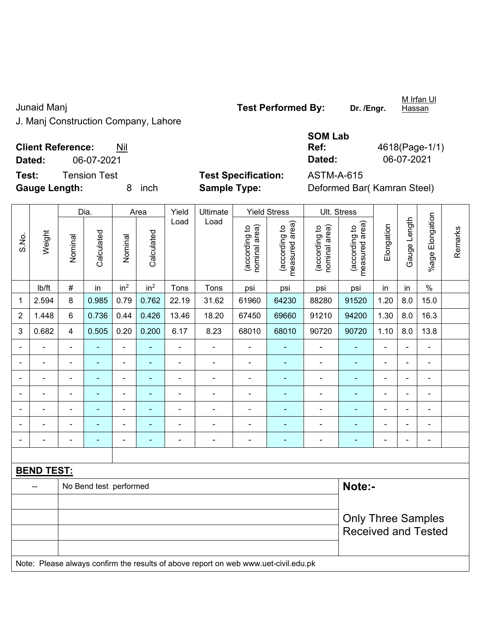J. Manj Construction Company, Lahore

Junaid Manj **Test Performed By:** Dr. /Engr.

**Hassan** 

**Client Reference:** Nil

**Dated:** 06-07-2021 **Dated:** 06-07-2021

**Test:** Tension Test **Test Specification:** ASTM-A-615

Dia. | Area Yield Ultimate Yield Stress Ult. Stress

**Gauge Length:** 8 inch **Sample Type:** Deformed Bar( Kamran Steel)

|                |                   |                | Dia.                   |                 | Area            | Yield                    | Ultimate                                                                            |                                | Yield Stress                    |                                | Ult. Stress                     |                |                |                 |         |
|----------------|-------------------|----------------|------------------------|-----------------|-----------------|--------------------------|-------------------------------------------------------------------------------------|--------------------------------|---------------------------------|--------------------------------|---------------------------------|----------------|----------------|-----------------|---------|
| S.No.          | Weight            | Nominal        | Calculated             | Nominal         | Calculated      | Load                     | Load                                                                                | nominal area)<br>(according to | measured area)<br>(according to | nominal area)<br>(according to | (according to<br>measured area) | Elongation     | Gauge Length   | %age Elongation | Remarks |
|                | Ib/ft             | $\#$           | in                     | in <sup>2</sup> | in <sup>2</sup> | Tons                     | Tons                                                                                | psi                            | psi                             | psi                            | psi                             | in             | in             | $\%$            |         |
| 1              | 2.594             | 8              | 0.985                  | 0.79            | 0.762           | 22.19                    | 31.62                                                                               | 61960                          | 64230                           | 88280                          | 91520                           | 1.20           | 8.0            | 15.0            |         |
| 2              | 1.448             | 6              | 0.736                  | 0.44            | 0.426           | 13.46                    | 18.20                                                                               | 67450                          | 69660                           | 91210                          | 94200                           | 1.30           | 8.0            | 16.3            |         |
| 3              | 0.682             | $\overline{4}$ | 0.505                  | 0.20            | 0.200           | 6.17                     | 8.23                                                                                | 68010                          | 68010                           | 90720                          | 90720                           | 1.10           | 8.0            | 13.8            |         |
|                |                   |                |                        | ä,              |                 | ÷,                       | ä,                                                                                  | $\blacksquare$                 |                                 |                                |                                 | $\blacksquare$ |                | ä,              |         |
|                |                   |                | $\blacksquare$         | $\overline{a}$  |                 | ۰                        | $\blacksquare$                                                                      | $\blacksquare$                 | $\blacksquare$                  | $\overline{\phantom{0}}$       | $\blacksquare$                  | $\blacksquare$ |                | $\blacksquare$  |         |
|                |                   | $\blacksquare$ | $\blacksquare$         | $\blacksquare$  |                 |                          | ä,                                                                                  |                                | $\blacksquare$                  | $\blacksquare$                 | ÷                               | $\blacksquare$ | ä,             | $\blacksquare$  |         |
|                |                   | $\overline{a}$ | ä,                     | $\blacksquare$  |                 | ÷                        | $\blacksquare$                                                                      | $\blacksquare$                 | $\blacksquare$                  | $\blacksquare$                 | ÷                               | $\blacksquare$ | ÷,             | $\blacksquare$  |         |
| $\blacksquare$ |                   | $\blacksquare$ | $\blacksquare$         | $\blacksquare$  | ٠               | $\blacksquare$           | $\overline{\phantom{a}}$                                                            | $\blacksquare$                 | $\blacksquare$                  | $\blacksquare$                 | $\blacksquare$                  | $\blacksquare$ | $\blacksquare$ | ÷,              |         |
|                |                   | $\blacksquare$ | $\blacksquare$         | $\blacksquare$  |                 | $\blacksquare$           | $\blacksquare$                                                                      | $\blacksquare$                 |                                 | ä,                             | $\blacksquare$                  | $\blacksquare$ |                | ÷,              |         |
|                | $\blacksquare$    | $\blacksquare$ | ÷                      | $\blacksquare$  | $\blacksquare$  | $\overline{\phantom{a}}$ | $\blacksquare$                                                                      | $\blacksquare$                 | $\blacksquare$                  | $\blacksquare$                 | ÷,                              | $\blacksquare$ | ÷.             | ÷,              |         |
|                |                   |                |                        |                 |                 |                          |                                                                                     |                                |                                 |                                |                                 |                |                |                 |         |
|                | <b>BEND TEST:</b> |                |                        |                 |                 |                          |                                                                                     |                                |                                 |                                |                                 |                |                |                 |         |
|                | $-$               |                | No Bend test performed |                 |                 |                          |                                                                                     |                                |                                 |                                | Note:-                          |                |                |                 |         |
|                |                   |                |                        |                 |                 |                          |                                                                                     |                                |                                 |                                |                                 |                |                |                 |         |
|                |                   |                |                        |                 |                 |                          |                                                                                     |                                |                                 |                                | <b>Only Three Samples</b>       |                |                |                 |         |
|                |                   |                |                        |                 |                 |                          |                                                                                     |                                |                                 |                                | <b>Received and Tested</b>      |                |                |                 |         |
|                |                   |                |                        |                 |                 |                          |                                                                                     |                                |                                 |                                |                                 |                |                |                 |         |
|                |                   |                |                        |                 |                 |                          | Note: Please always confirm the results of above report on web www.uet-civil.edu.pk |                                |                                 |                                |                                 |                |                |                 |         |
|                |                   |                |                        |                 |                 |                          |                                                                                     |                                |                                 |                                |                                 |                |                |                 |         |

M Irfan Ul

**SOM Lab Ref:** 4618(Page-1/1)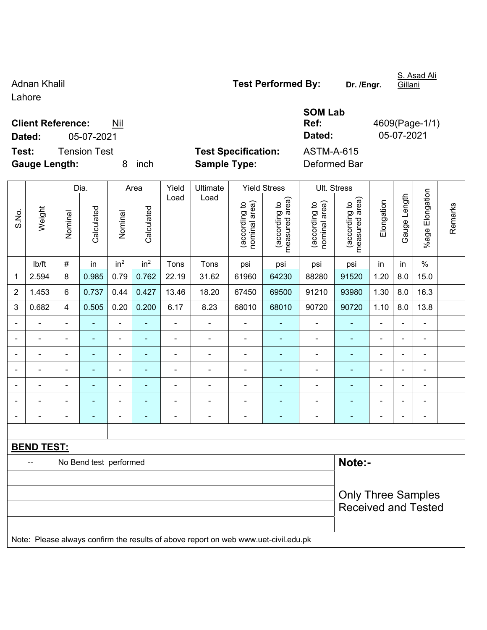**Client Reference:** Nil

Lahore

**Gauge Length:** 8 inch **Sample Type:** Deformed Bar Dia. | Area | Yield | Ultimate | Yield Stress | Ult. Stress %age Elongation %age Elongation Gauge Length Load Load Gauge Length (according to<br>measured area) measured area) measured area) (according to<br>nominal area) (according to<br>nominal area) nominal area) nominal area) (according to<br>measured area) Elongation Elongation (according to (according to (according to (according to Remarks Remarks Weight **Calculated Calculated** Calculated Calculated S.No. Nominal Nominal Nominal Nominal | lb/ft | # | in | in<sup>2</sup> | in<sup>2</sup> | Tons | Tons | psi | psi | psi | psi | in | in | % 1 | 2.594 | 8 | 0.985 | 0.79 | 0.762 | 22.19 | 31.62 | 61960 | 64230 | 88280 | 91520 | 1.20 | 8.0 | 15.0 2 | 1.453 | 6 | 0.737 | 0.44 | 0.427 | 13.46 | 18.20 | 67450 | 69500 | 91210 | 93980 | 1.30 | 8.0 | 16.3 3 | 0.682 | 4 | 0.505 | 0.20 | 0.200 | 6.17 | 8.23 | 68010 | 68010 | 90720 | 90720 | 1.10 | 8.0 | 13.8 - - - - - - - - - - - - - - - - - - - - - - - - - - - - - - - - - - - - - - - - - - - - - - - - - - - - - - - - - - - - - - - - - - - - - - - - - - - - - - - - - - - - - - - - - - - - - - - - - - - - - - - - - **BEND TEST:**  - No Bend test performed **Note:**-Only Three Samples Received and Tested Note: Please always confirm the results of above report on web www.uet-civil.edu.pk

**Dated:** 05-07-2021 **Dated:** 05-07-2021

**Test:** Tension Test **Test Specification:** ASTM-A-615

Adnan Khalil **Adnan Khalil Test Performed By:** Dr. /Engr.

**SOM Lab** 

S. Asad Ali

**Ref:** 4609(Page-1/1)

**Gillani**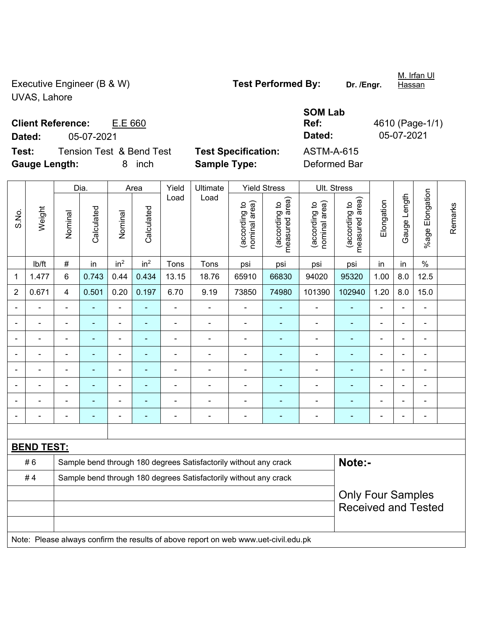Executive Engineer (B & W) **Test Performed By:** Dr. /Engr. UVAS, Lahore

**Client Reference:** E.E 660

**Test:** Tension Test & Bend Test **Test Specification:** ASTM-A-615 **Gauge Length:** 8 inch **Sample Type:** Deformed Bar

|                |                   |                | Dia.           |                 | Area                     | Yield          | Ultimate                                                                            |                                | <b>Yield Stress</b>             | Ult. Stress                    |                                 |                |                |                          |         |
|----------------|-------------------|----------------|----------------|-----------------|--------------------------|----------------|-------------------------------------------------------------------------------------|--------------------------------|---------------------------------|--------------------------------|---------------------------------|----------------|----------------|--------------------------|---------|
| S.No.          | Weight            | Nominal        | Calculated     | Nominal         | Calculated               | Load           | Load                                                                                | nominal area)<br>(according to | (according to<br>measured area) | nominal area)<br>(according to | measured area)<br>(according to | Elongation     | Gauge Length   | %age Elongation          | Remarks |
|                | lb/ft             | $\#$           | in             | in <sup>2</sup> | in <sup>2</sup>          | Tons           | Tons                                                                                | psi                            | psi                             | psi                            | psi                             | in             | in             | $\%$                     |         |
| $\mathbf 1$    | 1.477             | $6\phantom{a}$ | 0.743          | 0.44            | 0.434                    | 13.15          | 18.76                                                                               | 65910                          | 66830                           | 94020                          | 95320                           | 1.00           | 8.0            | 12.5                     |         |
| $\overline{2}$ | 0.671             | $\overline{4}$ | 0.501          | 0.20            | 0.197                    | 6.70           | 9.19                                                                                | 73850                          | 74980                           | 101390                         | 102940                          | 1.20           | 8.0            | 15.0                     |         |
|                |                   | ä,             | ٠              | ÷,              | ä,                       | $\blacksquare$ | $\overline{\phantom{a}}$                                                            | $\blacksquare$                 | ä,                              | $\blacksquare$                 | $\blacksquare$                  | $\blacksquare$ | L,             | $\overline{\phantom{a}}$ |         |
|                |                   | $\blacksquare$ | $\blacksquare$ | ä,              | $\blacksquare$           | $\blacksquare$ | $\blacksquare$                                                                      | $\blacksquare$                 | ÷                               | $\blacksquare$                 | $\blacksquare$                  | $\blacksquare$ | ä,             | $\blacksquare$           |         |
|                |                   |                | $\blacksquare$ | $\blacksquare$  | $\overline{\phantom{a}}$ | $\blacksquare$ | $\blacksquare$                                                                      | $\blacksquare$                 | $\blacksquare$                  | $\blacksquare$                 | $\blacksquare$                  | $\blacksquare$ |                | $\blacksquare$           |         |
|                |                   | $\blacksquare$ |                |                 |                          |                | $\blacksquare$                                                                      | $\overline{\phantom{a}}$       | ÷                               | $\blacksquare$                 | $\blacksquare$                  | $\blacksquare$ | ÷              | $\blacksquare$           |         |
|                |                   | $\blacksquare$ | $\blacksquare$ | ۰               |                          | $\blacksquare$ | $\blacksquare$                                                                      | $\overline{\phantom{a}}$       | ٠                               | $\blacksquare$                 | $\blacksquare$                  | $\blacksquare$ | $\blacksquare$ | $\blacksquare$           |         |
|                |                   | $\blacksquare$ | ÷              | ÷               | ÷                        | $\blacksquare$ | ÷                                                                                   | ÷,                             | ÷                               | ÷                              | ٠                               | $\blacksquare$ | ÷              | $\blacksquare$           |         |
|                |                   | $\blacksquare$ |                | $\blacksquare$  | $\blacksquare$           | $\blacksquare$ | $\blacksquare$                                                                      | $\overline{\phantom{0}}$       | ۰                               | $\blacksquare$                 | $\blacksquare$                  | $\blacksquare$ | Ē,             | $\blacksquare$           |         |
|                |                   | $\blacksquare$ | ÷              | $\blacksquare$  | ä,                       | $\blacksquare$ | $\blacksquare$                                                                      | ä,                             | ÷                               | $\blacksquare$                 | $\blacksquare$                  | ä,             |                | ä,                       |         |
|                |                   |                |                |                 |                          |                |                                                                                     |                                |                                 |                                |                                 |                |                |                          |         |
|                | <b>BEND TEST:</b> |                |                |                 |                          |                |                                                                                     |                                |                                 |                                |                                 |                |                |                          |         |
|                | #6                |                |                |                 |                          |                | Sample bend through 180 degrees Satisfactorily without any crack                    |                                |                                 |                                | Note:-                          |                |                |                          |         |
|                | #4                |                |                |                 |                          |                | Sample bend through 180 degrees Satisfactorily without any crack                    |                                |                                 |                                |                                 |                |                |                          |         |
|                |                   |                |                |                 |                          |                |                                                                                     |                                |                                 |                                | <b>Only Four Samples</b>        |                |                |                          |         |
|                |                   |                |                |                 |                          |                |                                                                                     |                                |                                 |                                | <b>Received and Tested</b>      |                |                |                          |         |
|                |                   |                |                |                 |                          |                | Note: Please always confirm the results of above report on web www.uet-civil.edu.pk |                                |                                 |                                |                                 |                |                |                          |         |

**SOM Lab Ref:** 4610 (Page-1/1) **Dated:** 05-07-2021 **Dated:** 05-07-2021

M. Irfan Ul

**Hassan**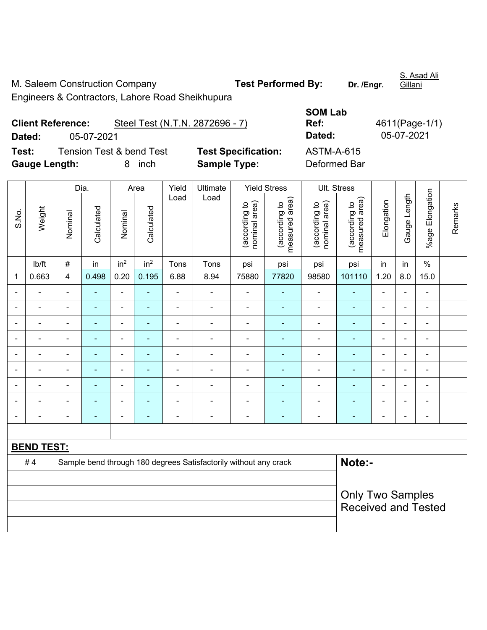M. Saleem Construction Company **Test Performed By:** Dr. /Engr.

Engineers & Contractors, Lahore Road Sheikhupura

**SOM Lab Ref:** 4611(Page-1/1) **Dated:** 05-07-2021 **Dated:** 05-07-2021

| <b>Client Reference:</b> |  |  | Steel Test (N.T.N. 2872696 - 7) |  |
|--------------------------|--|--|---------------------------------|--|
|                          |  |  |                                 |  |

**Test:** Tension Test & bend Test **Test Specification:** ASTM-A-615 **Gauge Length:** 8 inch **Sample Type:** Deformed Bar

|                |                   |                          | Dia.                                                             |                 | Area            | Yield                    | Ultimate       |                                | <b>Yield Stress</b>             |                                | Ult. Stress                     |                |                |                          |         |
|----------------|-------------------|--------------------------|------------------------------------------------------------------|-----------------|-----------------|--------------------------|----------------|--------------------------------|---------------------------------|--------------------------------|---------------------------------|----------------|----------------|--------------------------|---------|
| S.No.          | Weight            | Nominal                  | Calculated                                                       | Nominal         | Calculated      | Load                     | Load           | nominal area)<br>(according to | (according to<br>measured area) | nominal area)<br>(according to | (according to<br>measured area) | Elongation     | Gauge Length   | %age Elongation          | Remarks |
|                | lb/ft             | $\#$                     | in                                                               | in <sup>2</sup> | in <sup>2</sup> | Tons                     | Tons           | psi                            | psi                             | psi                            | psi                             | in             | in             | $\%$                     |         |
| 1              | 0.663             | $\overline{4}$           | 0.498                                                            | 0.20            | 0.195           | 6.88                     | 8.94           | 75880                          | 77820                           | 98580                          | 101110                          | 1.20           | 8.0            | 15.0                     |         |
| $\blacksquare$ |                   | $\blacksquare$           | $\blacksquare$                                                   | $\blacksquare$  | $\blacksquare$  | $\blacksquare$           | ä,             | $\blacksquare$                 | $\blacksquare$                  | $\blacksquare$                 | $\blacksquare$                  | $\blacksquare$ |                | $\blacksquare$           |         |
| $\blacksquare$ | $\blacksquare$    | $\blacksquare$           | $\blacksquare$                                                   | $\blacksquare$  | ۰               | $\blacksquare$           | ä,             | $\blacksquare$                 | $\blacksquare$                  | $\blacksquare$                 | $\blacksquare$                  | $\blacksquare$ |                | $\blacksquare$           |         |
|                |                   | $\blacksquare$           | $\overline{\phantom{0}}$                                         |                 | ۰               | $\blacksquare$           |                | $\blacksquare$                 |                                 | $\blacksquare$                 |                                 | ۳              |                | $\blacksquare$           |         |
| $\blacksquare$ |                   | $\blacksquare$           | ÷,                                                               | ä,              | ۰               | $\blacksquare$           | $\blacksquare$ | $\blacksquare$                 | $\blacksquare$                  | $\blacksquare$                 |                                 | $\blacksquare$ | $\blacksquare$ | $\blacksquare$           |         |
| $\overline{a}$ |                   | $\blacksquare$           | $\blacksquare$                                                   | ÷               | $\blacksquare$  | $\blacksquare$           | $\overline{a}$ | $\overline{\phantom{a}}$       | $\blacksquare$                  | $\blacksquare$                 | $\blacksquare$                  | $\blacksquare$ |                | $\overline{\phantom{a}}$ |         |
|                |                   | $\blacksquare$           | ÷                                                                | Ē,              | ÷,              | $\blacksquare$           |                | $\blacksquare$                 | ۰                               | $\blacksquare$                 | $\blacksquare$                  | $\blacksquare$ |                | $\blacksquare$           |         |
|                |                   |                          | $\blacksquare$                                                   |                 | $\blacksquare$  |                          |                | $\blacksquare$                 |                                 | $\blacksquare$                 |                                 | $\overline{a}$ |                | $\blacksquare$           |         |
| $\blacksquare$ |                   | $\blacksquare$           | $\blacksquare$                                                   | $\blacksquare$  | $\blacksquare$  | $\blacksquare$           | $\blacksquare$ | $\blacksquare$                 | $\blacksquare$                  | $\overline{\phantom{0}}$       | $\blacksquare$                  | $\blacksquare$ |                | $\blacksquare$           |         |
| $\blacksquare$ |                   | $\overline{\phantom{a}}$ | $\blacksquare$                                                   | ٠               | $\blacksquare$  | $\overline{\phantom{a}}$ | $\overline{a}$ | $\overline{\phantom{a}}$       | $\overline{\phantom{0}}$        | ÷                              | $\blacksquare$                  | $\blacksquare$ |                | $\blacksquare$           |         |
|                |                   |                          |                                                                  |                 |                 |                          |                |                                |                                 |                                |                                 |                |                |                          |         |
|                | <b>BEND TEST:</b> |                          |                                                                  |                 |                 |                          |                |                                |                                 |                                |                                 |                |                |                          |         |
|                | #4                |                          | Sample bend through 180 degrees Satisfactorily without any crack |                 |                 |                          | Note:-         |                                |                                 |                                |                                 |                |                |                          |         |
|                |                   |                          |                                                                  |                 |                 |                          |                |                                |                                 |                                |                                 |                |                |                          |         |
|                |                   |                          |                                                                  |                 |                 |                          |                |                                |                                 |                                | <b>Only Two Samples</b>         |                |                |                          |         |
|                |                   |                          |                                                                  |                 |                 |                          |                |                                |                                 |                                | <b>Received and Tested</b>      |                |                |                          |         |
|                |                   |                          |                                                                  |                 |                 |                          |                |                                |                                 |                                |                                 |                |                |                          |         |

S. Asad Ali **Gillani**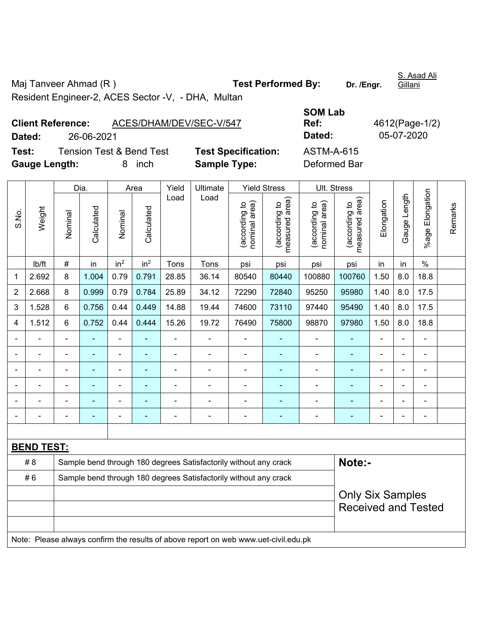Maj Tanveer Ahmad (R) **Test Performed By:** Dr. /Engr. Resident Engineer-2, ACES Sector -V, - DHA, Multan

**Client Reference:** ACES/DHAM/DEV/SEC-V/547

| Test:<br><b>Tension Test &amp; Bend Test</b><br><b>Gauge Length:</b><br>8<br>inch |                                      |         |                    |                 | <b>Sample Type:</b> | <b>Test Specification:</b> |                                                                                                                                     | <b>ASTM-A-615</b><br>Deformed Bar |       |                                                                                                          |        |            |                |                       |  |
|-----------------------------------------------------------------------------------|--------------------------------------|---------|--------------------|-----------------|---------------------|----------------------------|-------------------------------------------------------------------------------------------------------------------------------------|-----------------------------------|-------|----------------------------------------------------------------------------------------------------------|--------|------------|----------------|-----------------------|--|
| S.No.                                                                             | Weight                               | Nominal | Dia.<br>Calculated | Nominal         | Area<br>Calculated  | Yield<br>Load              | Ultimate<br><b>Yield Stress</b><br>Load<br>rea)<br>area)<br><u>م</u><br>ೆ<br>(according<br>(according<br>ত্ত<br>measured<br>nominal |                                   |       | Ult. Stress<br>area)<br>area)<br>$\overline{5}$<br>٥,<br>(according<br>(according<br>measured<br>nominal |        | Elongation | ength<br>Gauge | Elongation<br>$%$ age |  |
|                                                                                   | lb/ft                                | #       | in                 | in <sup>2</sup> | in <sup>2</sup>     | <b>Tons</b>                | Tons                                                                                                                                | psi                               | psi   | psi                                                                                                      | psi    | in         | in             | %                     |  |
| 1                                                                                 | 2.692                                | 8       | 1.004              | 0.79            | 0.791               | 28.85                      | 36.14                                                                                                                               | 80540                             | 80440 | 100880                                                                                                   | 100760 | 1.50       | 8.0            | 18.8                  |  |
| $\overline{2}$                                                                    | 8<br>0.79<br>0.784<br>2.668<br>0.999 |         | 25.89              | 34.12           | 72290               | 72840                      | 95250                                                                                                                               | 95980                             | 1.40  | 8.0                                                                                                      | 17.5   |            |                |                       |  |

3 | 1.528 | 6 | 0.756 | 0.44 | 0.449 | 14.88 | 19.44 | 74600 | 73110 | 97440 | 95490 | 1.40 | 8.0 | 17.5 4 | 1.512 | 6 | 0.752 | 0.44 | 0.444 | 15.26 | 19.72 | 76490 | 75800 | 98870 | 97980 | 1.50 | 8.0 | 18.8 - - - - - - - - - - - - - - - - - - - - - - - - - - - - - - - - - - - - - - - - - - - - -

|                                                                                     |  |  | $\blacksquare$ |  |  |                                                                  |  |  | $\equiv$ |                            |  |  |  |  |
|-------------------------------------------------------------------------------------|--|--|----------------|--|--|------------------------------------------------------------------|--|--|----------|----------------------------|--|--|--|--|
|                                                                                     |  |  | -              |  |  |                                                                  |  |  |          |                            |  |  |  |  |
|                                                                                     |  |  |                |  |  |                                                                  |  |  |          |                            |  |  |  |  |
| <b>BEND TEST:</b>                                                                   |  |  |                |  |  |                                                                  |  |  |          |                            |  |  |  |  |
| Note:-<br># 8<br>Sample bend through 180 degrees Satisfactorily without any crack   |  |  |                |  |  |                                                                  |  |  |          |                            |  |  |  |  |
| #6                                                                                  |  |  |                |  |  | Sample bend through 180 degrees Satisfactorily without any crack |  |  |          |                            |  |  |  |  |
|                                                                                     |  |  |                |  |  |                                                                  |  |  |          | <b>Only Six Samples</b>    |  |  |  |  |
|                                                                                     |  |  |                |  |  |                                                                  |  |  |          | <b>Received and Tested</b> |  |  |  |  |
|                                                                                     |  |  |                |  |  |                                                                  |  |  |          |                            |  |  |  |  |
| Note: Please always confirm the results of above report on web www.uet-civil.edu.pk |  |  |                |  |  |                                                                  |  |  |          |                            |  |  |  |  |

**SOM Lab Ref:** 4612(Page-1/2) **Dated:** 26-06-2021 **Dated:** 05-07-2020

S. Asad Ali Gillani

Remarks

Remarks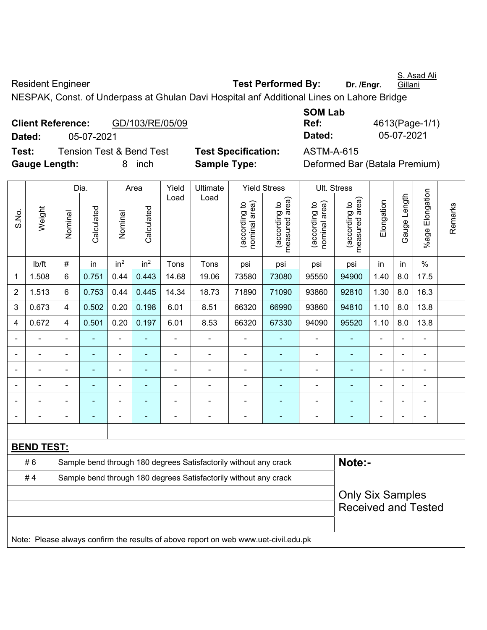S. Asad Ali

Resident Engineer **Test Performed By:** Dr. /Engr.

**Gillani** 

NESPAK, Const. of Underpass at Ghulan Davi Hospital anf Additional Lines on Lahore Bridge

|               | <b>Client Reference:</b> | GD/103/RE/05/09                     |                            | Ref:              | 4613(Page-1/1)                |
|---------------|--------------------------|-------------------------------------|----------------------------|-------------------|-------------------------------|
| Dated:        | 05-07-2021               |                                     |                            | Dated:            | 05-07-2021                    |
| Test:         |                          | <b>Tension Test &amp; Bend Test</b> | <b>Test Specification:</b> | <b>ASTM-A-615</b> |                               |
| Gauge Length: |                          | inch                                | <b>Sample Type:</b>        |                   | Deformed Bar (Batala Premium) |

**SOM Lab Ref:** 4613(Page-1/1) **Dated:** 05-07-2021 **Dated:** 05-07-2021

|                |                   | Dia.                                                                                |                                                                  |                 | Area                                                  | Yield | Ultimate                                                         |                                | <b>Yield Stress</b>             |                                | Ult. Stress                     |                |                |                 |         |
|----------------|-------------------|-------------------------------------------------------------------------------------|------------------------------------------------------------------|-----------------|-------------------------------------------------------|-------|------------------------------------------------------------------|--------------------------------|---------------------------------|--------------------------------|---------------------------------|----------------|----------------|-----------------|---------|
| S.No.          | Weight            | Nominal                                                                             | Calculated                                                       | Nominal         | Calculated                                            | Load  | Load                                                             | nominal area)<br>(according to | (according to<br>measured area) | (according to<br>nominal area) | (according to<br>measured area) | Elongation     | Gauge Length   | %age Elongation | Remarks |
|                | lb/ft             | #                                                                                   | in                                                               | in <sup>2</sup> | in <sup>2</sup>                                       | Tons  | Tons                                                             | psi                            | psi                             | psi                            | psi                             | in             | in             | $\%$            |         |
| 1              | 1.508             | $6\phantom{1}$                                                                      | 0.751                                                            | 0.44            | 0.443                                                 | 14.68 | 19.06                                                            | 73580                          | 73080                           | 95550                          | 94900                           | 1.40           | 8.0            | 17.5            |         |
| $\overline{2}$ | 1.513             | 6                                                                                   | 0.753                                                            | 0.44            | 0.445                                                 | 14.34 | 18.73                                                            | 71890                          | 71090                           | 93860                          | 92810                           | 1.30           | 8.0            | 16.3            |         |
| 3              | 0.673             | 4                                                                                   | 0.502                                                            | 0.20            | 0.198                                                 | 6.01  | 8.51                                                             | 66320                          | 66990                           | 93860                          | 94810                           | 1.10           | 8.0            | 13.8            |         |
| 4              | 0.672             | 4                                                                                   | 0.501                                                            | 0.20            | 0.197                                                 | 6.01  | 8.53                                                             | 66320                          | 67330                           | 94090                          | 95520                           | 1.10           | 8.0            | 13.8            |         |
|                | ÷.                | $\blacksquare$                                                                      | L,                                                               | ÷,              |                                                       | ä,    | ä,                                                               | L,                             | $\blacksquare$                  | $\blacksquare$                 | $\blacksquare$                  | ä,             | $\blacksquare$ | ä,              |         |
|                | ÷.                | $\blacksquare$                                                                      | L,                                                               | ä,              |                                                       | ä,    | $\blacksquare$                                                   | ä,                             | ÷,                              | $\blacksquare$                 | $\blacksquare$                  |                | $\blacksquare$ | ä,              |         |
|                |                   |                                                                                     |                                                                  |                 |                                                       |       |                                                                  |                                | $\blacksquare$                  | $\blacksquare$                 | $\blacksquare$                  |                |                |                 |         |
|                |                   |                                                                                     |                                                                  | ۰               |                                                       |       |                                                                  |                                |                                 | -                              |                                 |                | $\blacksquare$ |                 |         |
|                | ÷                 |                                                                                     | ÷,                                                               | $\blacksquare$  |                                                       |       | $\blacksquare$                                                   | ä,                             |                                 | ä,                             | Ē,                              | $\blacksquare$ | ÷.             | $\blacksquare$  |         |
|                |                   | $\blacksquare$                                                                      | ۰                                                                | ÷               | $\overline{\phantom{0}}$                              |       | $\overline{\phantom{a}}$                                         | $\blacksquare$                 | $\blacksquare$                  | ÷                              | $\blacksquare$                  | ä,             | ÷,             | ÷,              |         |
|                |                   |                                                                                     |                                                                  |                 |                                                       |       |                                                                  |                                |                                 |                                |                                 |                |                |                 |         |
|                | <b>BEND TEST:</b> |                                                                                     |                                                                  |                 |                                                       |       |                                                                  |                                |                                 |                                |                                 |                |                |                 |         |
|                | #6                |                                                                                     |                                                                  |                 |                                                       |       | Sample bend through 180 degrees Satisfactorily without any crack |                                |                                 |                                | Note:-                          |                |                |                 |         |
|                | #4                |                                                                                     | Sample bend through 180 degrees Satisfactorily without any crack |                 |                                                       |       |                                                                  |                                |                                 |                                |                                 |                |                |                 |         |
|                |                   |                                                                                     |                                                                  |                 | <b>Only Six Samples</b><br><b>Received and Tested</b> |       |                                                                  |                                |                                 |                                |                                 |                |                |                 |         |
|                |                   |                                                                                     |                                                                  |                 |                                                       |       |                                                                  |                                |                                 |                                |                                 |                |                |                 |         |
|                |                   | Note: Please always confirm the results of above report on web www.uet-civil.edu.pk |                                                                  |                 |                                                       |       |                                                                  |                                |                                 |                                |                                 |                |                |                 |         |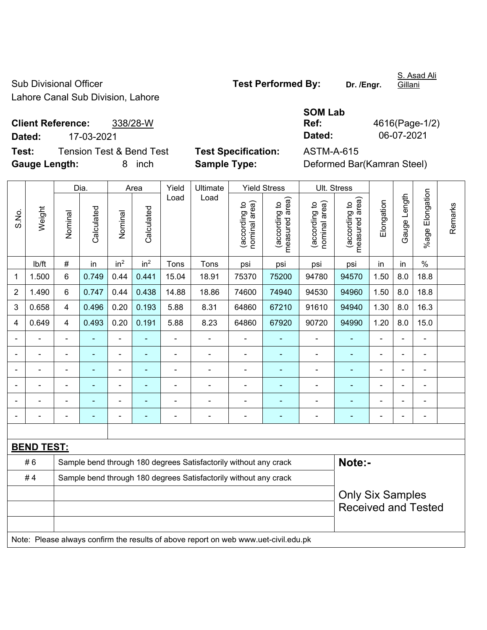Sub Divisional Officer **Test Performed By:** Dr. /Engr. Lahore Canal Sub Division, Lahore

S. Asad Ali Gillani

**Client Reference:** 338/28-W **Dated:** 17-03-2021 **Dated:** 06-07-2021 **Test:** Tension Test & Bend Test **Test Specification:** ASTM-A-615

| <b>SOM Lab</b> |                |
|----------------|----------------|
| Ref:           | 4616(Page-1/2) |
| Dated:         | 06-07-2021     |

**Gauge Length:** 8 inch **Sample Type:** Deformed Bar(Kamran Steel)

|       |                   |                         | Dia.                                                             |                 | Area            | Yield          | Ultimate                                                                            |                                | <b>Yield Stress</b>             |                                | Ult. Stress                     |                |                |                          |         |
|-------|-------------------|-------------------------|------------------------------------------------------------------|-----------------|-----------------|----------------|-------------------------------------------------------------------------------------|--------------------------------|---------------------------------|--------------------------------|---------------------------------|----------------|----------------|--------------------------|---------|
| S.No. | Weight            | Nominal                 | Calculated                                                       | Nominal         | Calculated      | Load           | Load                                                                                | (according to<br>nominal area) | (according to<br>measured area) | nominal area)<br>(according to | measured area)<br>(according to | Elongation     | Gauge Length   | %age Elongation          | Remarks |
|       | lb/ft             | $\#$                    | in                                                               | in <sup>2</sup> | in <sup>2</sup> | Tons           | Tons                                                                                | psi                            | psi                             | psi                            | psi                             | in             | in             | $\%$                     |         |
| 1     | 1.500             | $6\phantom{a}$          | 0.749                                                            | 0.44            | 0.441           | 15.04          | 18.91                                                                               | 75370                          | 75200                           | 94780                          | 94570                           | 1.50           | 8.0            | 18.8                     |         |
| 2     | 1.490             | 6                       | 0.747                                                            | 0.44            | 0.438           | 14.88          | 18.86                                                                               | 74600                          | 74940                           | 94530                          | 94960                           | 1.50           | 8.0            | 18.8                     |         |
| 3     | 0.658             | $\overline{4}$          | 0.496                                                            | 0.20            | 0.193           | 5.88           | 8.31                                                                                | 64860                          | 67210                           | 91610                          | 94940                           | 1.30           | 8.0            | 16.3                     |         |
| 4     | 0.649             | $\overline{4}$          | 0.493                                                            | 0.20            | 0.191           | 5.88           | 8.23                                                                                | 64860                          | 67920                           | 90720                          | 94990                           | 1.20           | 8.0            | 15.0                     |         |
|       | $\blacksquare$    | $\blacksquare$          |                                                                  | $\blacksquare$  | ٠               | $\blacksquare$ | ÷                                                                                   | $\blacksquare$                 | $\blacksquare$                  | $\qquad \qquad \blacksquare$   | $\blacksquare$                  | $\blacksquare$ | $\blacksquare$ | $\blacksquare$           |         |
|       | $\blacksquare$    |                         | ä,                                                               | $\blacksquare$  | $\blacksquare$  | ä,             | ÷,                                                                                  | L,                             | $\blacksquare$                  | ÷                              | ÷,                              | $\blacksquare$ | $\blacksquare$ | $\blacksquare$           |         |
|       |                   |                         |                                                                  | ä,              |                 |                | ä,                                                                                  | ÷                              | $\blacksquare$                  | ä,                             | $\blacksquare$                  |                |                | $\blacksquare$           |         |
|       |                   |                         |                                                                  | ÷               |                 |                | ÷                                                                                   |                                |                                 | ۰                              | $\blacksquare$                  |                |                |                          |         |
|       |                   |                         |                                                                  | ÷               | ۳               |                | $\blacksquare$                                                                      | ä,                             |                                 | ۰                              | -                               | $\blacksquare$ |                | $\blacksquare$           |         |
|       |                   |                         | $\overline{\phantom{0}}$                                         | ÷               | ٠               | $\blacksquare$ | ÷                                                                                   | ä,                             | $\blacksquare$                  | ÷                              | ۰                               | $\blacksquare$ | $\overline{a}$ | $\overline{\phantom{a}}$ |         |
|       |                   |                         |                                                                  |                 |                 |                |                                                                                     |                                |                                 |                                |                                 |                |                |                          |         |
|       | <b>BEND TEST:</b> |                         |                                                                  |                 |                 |                |                                                                                     |                                |                                 |                                |                                 |                |                |                          |         |
|       | #6                |                         |                                                                  |                 |                 |                | Sample bend through 180 degrees Satisfactorily without any crack                    |                                |                                 |                                | Note:-                          |                |                |                          |         |
|       | #4                |                         | Sample bend through 180 degrees Satisfactorily without any crack |                 |                 |                |                                                                                     |                                |                                 |                                |                                 |                |                |                          |         |
|       |                   | <b>Only Six Samples</b> |                                                                  |                 |                 |                |                                                                                     |                                |                                 |                                |                                 |                |                |                          |         |
|       |                   |                         |                                                                  |                 |                 |                |                                                                                     |                                |                                 |                                | <b>Received and Tested</b>      |                |                |                          |         |
|       |                   |                         |                                                                  |                 |                 |                |                                                                                     |                                |                                 |                                |                                 |                |                |                          |         |
|       |                   |                         |                                                                  |                 |                 |                | Note: Please always confirm the results of above report on web www.uet-civil.edu.pk |                                |                                 |                                |                                 |                |                |                          |         |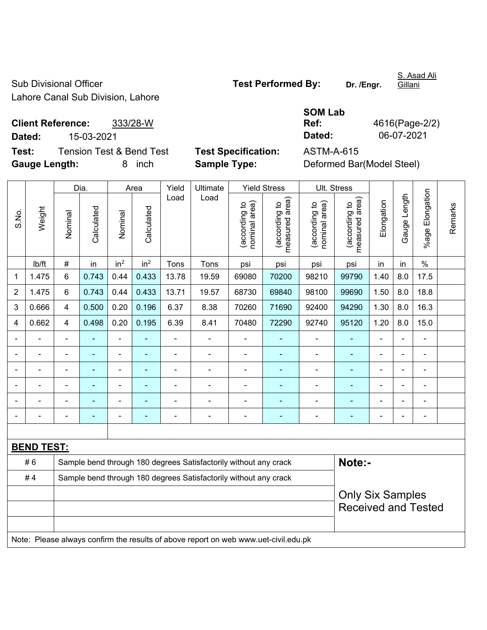Sub Divisional Officer **Test Performed By:** Dr. /Engr. Lahore Canal Sub Division, Lahore

S. Asad Ali **Gillani** 

**Client Reference:** 333/28-W **Dated:** 15-03-2021 **Dated:** 06-07-2021 **Test:** Tension Test & Bend Test **Test Specification:** ASTM-A-615

S.No.

Weight

Nominal

Nominal

**Gauge Length:** 8 inch **Sample Type:** Deformed Bar(Model Steel)

**SOM Lab Ref:** 4616(Page-2/2)

Remarks

Remarks

Dia. | Area | Yield | Ultimate | Yield Stress | Ult. Stress %age Elongation %age Elongation Gauge Length Load Load Gauge Length (according to<br>measured area) measured area) measured area) (according to<br>nominal area) (according to<br>nominal area) (according to<br>measured area) nominal area) nominal area) Elongation Elongation (according to (according to (according to (according to **Calculated Calculated** Calculated Calculated Nominal Nominal | lb/ft | # | in | in<sup>2</sup> | in<sup>2</sup> | Tons | Tons | psi | psi | psi | psi | in | in | % 1 | 1.475 | 6 | 0.743 | 0.44 | 0.433 | 13.78 | 19.59 | 69080 | 70200 | 98210 | 99790 | 1.40 | 8.0 | 17.5 2 | 1.475 | 6 | 0.743 | 0.44 | 0.433 | 13.71 | 19.57 | 68730 | 69840 | 98100 | 99690 | 1.50 | 8.0 | 18.8 3 | 0.666 | 4 | 0.500 | 0.20 | 0.196 | 6.37 | 8.38 | 70260 | 71690 | 92400 | 94290 | 1.30 | 8.0 | 16.3 4 | 0.662 | 4 | 0.498 | 0.20 | 0.195 | 6.39 | 8.41 | 70480 | 72290 | 92740 | 95120 | 1.20 | 8.0 | 15.0 - - - - - - - - - - - - - - - - - - - - - - - - - - - - - - - - - - - - - - - - - - - - -

| <b>BEND TEST:</b> |                                                                                     |                            |
|-------------------|-------------------------------------------------------------------------------------|----------------------------|
| # 6               | Sample bend through 180 degrees Satisfactorily without any crack                    | Note:-                     |
| #4                | Sample bend through 180 degrees Satisfactorily without any crack                    |                            |
|                   |                                                                                     | <b>Only Six Samples</b>    |
|                   |                                                                                     | <b>Received and Tested</b> |
|                   |                                                                                     |                            |
|                   | Note: Please always confirm the results of above report on web www.uet-civil.edu.pk |                            |

- - - - - - - - - - - - - - - - - - - - - - - - - - - - - - - - - - - - - - - - - - - - -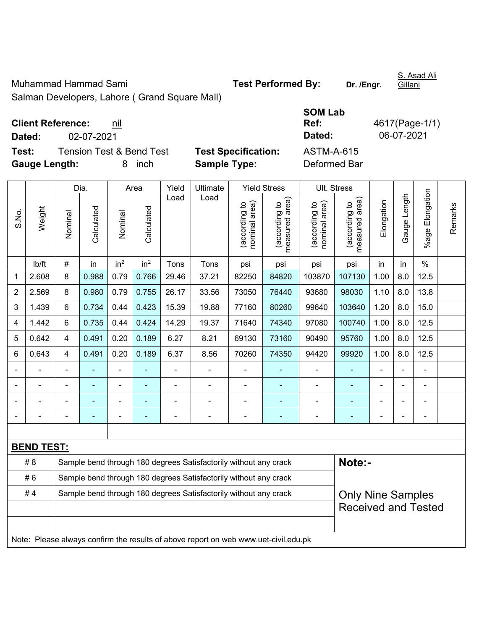Muhammad Hammad Sami **Test Performed By:** Dr. /Engr.

Salman Developers, Lahore ( Grand Square Mall)

|  | <b>Client Reference:</b> | nil |
|--|--------------------------|-----|
|--|--------------------------|-----|

**Dated:** 02-07-2021 **Dated:** 06-07-2021

**Test:** Tension Test & Bend Test **Test Specification: Gauge Length:** 8 inch **Sample Type:** Deformed Bar

|                       |  | 1 GSL 1 |  |
|-----------------------|--|---------|--|
| $O_{\text{max}}$ Mall |  |         |  |

| <b>SOM Lab</b>    |                |
|-------------------|----------------|
| Ref:              | 4617(Page-1/1) |
| Dated:            | 06-07-2021     |
| <b>ASTM-A-615</b> |                |
| Deformed Rar      |                |

|       |                   |                | Dia.                                                             |                 | Area            | Yield | Ultimate                                                                            |                                | <b>Yield Stress</b>                         |                                | Ult. Stress                     |            |              |                      |         |
|-------|-------------------|----------------|------------------------------------------------------------------|-----------------|-----------------|-------|-------------------------------------------------------------------------------------|--------------------------------|---------------------------------------------|--------------------------------|---------------------------------|------------|--------------|----------------------|---------|
| S.No. | Weight            | Nominal        | Calculated                                                       | Nominal         | Calculated      | Load  | Load                                                                                | nominal area)<br>(according to | (according to<br>measured area)<br>measured | nominal area)<br>(according to | (according to<br>measured area) | Elongation | Gauge Length | Elongation<br>%age l | Remarks |
|       | lb/ft             | $\#$           | in                                                               | in <sup>2</sup> | in <sup>2</sup> | Tons  | Tons                                                                                | psi                            | psi                                         | psi                            | psi                             | in         | in           | $\%$                 |         |
| 1     | 2.608             | 8              | 0.988                                                            | 0.79            | 0.766           | 29.46 | 37.21                                                                               | 82250                          | 84820                                       | 103870                         | 107130                          | 1.00       | 8.0          | 12.5                 |         |
| 2     | 2.569             | 8              | 0.980                                                            | 0.79            | 0.755           | 26.17 | 33.56                                                                               | 73050                          | 76440                                       | 93680                          | 98030                           | 1.10       | 8.0          | 13.8                 |         |
| 3     | 1.439             | 6              | 0.734                                                            | 0.44            | 0.423           | 15.39 | 19.88                                                                               | 77160                          | 80260                                       | 99640                          | 103640                          | 1.20       | 8.0          | 15.0                 |         |
| 4     | 1.442             | 6              | 0.735                                                            | 0.44            | 0.424           | 14.29 | 19.37                                                                               | 71640                          | 74340                                       | 97080                          | 100740                          | 1.00       | 8.0          | 12.5                 |         |
| 5     | 0.642             | $\overline{4}$ | 0.491                                                            | 0.20            | 0.189           | 6.27  | 8.21                                                                                | 69130                          | 73160                                       | 90490                          | 95760                           | 1.00       | 8.0          | 12.5                 |         |
| 6     | 0.643             | $\overline{4}$ | 0.491                                                            | 0.20            | 0.189           | 6.37  | 8.56                                                                                | 70260                          | 74350                                       | 94420                          | 99920                           | 1.00       | 8.0          | 12.5                 |         |
|       |                   | $\blacksquare$ | ÷,                                                               | ä,              |                 | L,    | ä,                                                                                  | L,                             |                                             | $\blacksquare$                 | ä,                              | ä,         |              | $\blacksquare$       |         |
|       |                   |                | ÷                                                                | Ē,              |                 | ä,    |                                                                                     | ÷                              |                                             |                                |                                 |            |              | $\blacksquare$       |         |
|       |                   |                |                                                                  | ÷               |                 |       |                                                                                     |                                |                                             |                                |                                 |            |              |                      |         |
|       |                   |                |                                                                  |                 |                 |       |                                                                                     |                                |                                             |                                |                                 |            |              |                      |         |
|       |                   |                |                                                                  |                 |                 |       |                                                                                     |                                |                                             |                                |                                 |            |              |                      |         |
|       | <b>BEND TEST:</b> |                |                                                                  |                 |                 |       |                                                                                     |                                |                                             |                                |                                 |            |              |                      |         |
|       | # 8               |                |                                                                  |                 |                 |       | Sample bend through 180 degrees Satisfactorily without any crack                    |                                |                                             |                                | Note:-                          |            |              |                      |         |
|       | #6                |                |                                                                  |                 |                 |       | Sample bend through 180 degrees Satisfactorily without any crack                    |                                |                                             |                                |                                 |            |              |                      |         |
|       | #4                |                | Sample bend through 180 degrees Satisfactorily without any crack |                 |                 |       | <b>Only Nine Samples</b>                                                            |                                |                                             |                                |                                 |            |              |                      |         |
|       |                   |                |                                                                  |                 |                 |       |                                                                                     |                                |                                             |                                | <b>Received and Tested</b>      |            |              |                      |         |
|       |                   |                |                                                                  |                 |                 |       |                                                                                     |                                |                                             |                                |                                 |            |              |                      |         |
|       |                   |                |                                                                  |                 |                 |       | Note: Please always confirm the results of above report on web www.uet-civil.edu.pk |                                |                                             |                                |                                 |            |              |                      |         |

S. Asad Ali Gillani